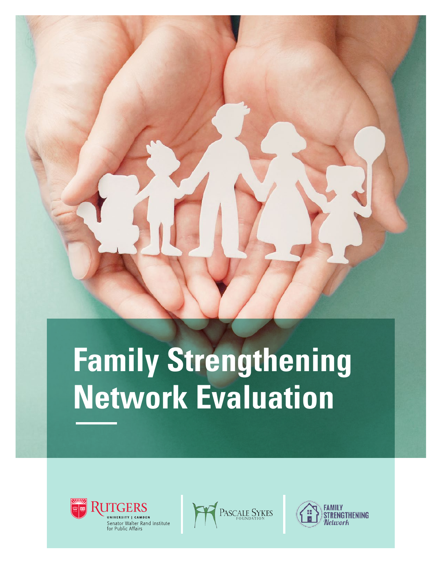# **Family Strengthening Network Evaluation**





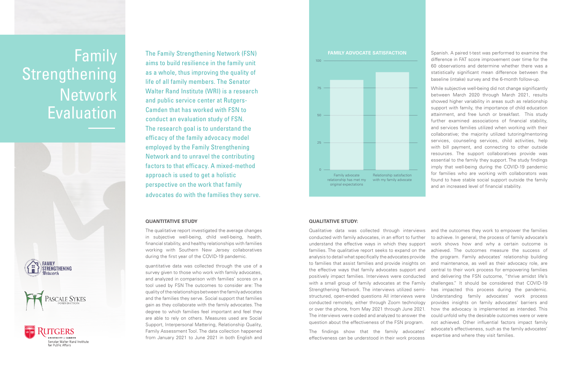Spanish. A paired t-test was performed to examine the difference in FAT score improvement over time for the 60 observations and determine whether there was a statistically significant mean difference between the baseline (intake) survey and the 6-month follow-up.

While subjective well-being did not change significantly between March 2020 through March 2021, results showed higher variability in areas such as relationship support with family, the importance of child education attainment, and free lunch or breakfast. This study further examined associations of financial stability, and services families utilized when working with their collaborative; the majority utilized tutoring/mentoring services, counseling services, child activities, help with bill payment, and connecting to other outside resources. The support collaboratives provide was essential to the family they support. The study findings imply that well-being during the COVID-19 pandemic for families who are working with collaborators was found to have stable social support outside the family and an increased level of financial stability.

### **QUALITATIVE STUDY:**

effectiveness can be understood in their work process

Qualitative data was collected through interviews conducted with family advocates, in an effort to further understand the effective ways in which they support families. The qualitative report seeks to expand on the analysis to detail what specifically the advocates provide to families that assist families and provide insights on the effective ways that family advocates support and positively impact families. Interviews were conducted with a small group of family advocates at the Family Strengthening Network. The interviews utilized semistructured, open-ended questions All interviews were conducted remotely, either through Zoom technology or over the phone, from May 2021 through June 2021. The interviews were coded and analyzed to answer the question about the effectiveness of the FSN program. The findings show that the family advocates' and the outcomes they work to empower the families to achieve. In general, the process of family advocate's work shows how and why a certain outcome is achieved. The outcomes measure the success of the program. Family advocates' relationship building and maintenance, as well as their advocacy role, are central to their work process for empowering families and delivering the FSN outcome, "thrive amidst life's challenges." It should be considered that COVID-19 has impacted this process during the pandemic. Understanding family advocates' work process provides insights on family advocates' barriers and how the advocacy is implemented as intended. This could unfold why the desirable outcomes were or were not achieved. Other influential factors impact family advocate's effectiveness, such as the family advocates' expertise and where they visit families.

## Family Strengthening Network Evaluation





The Family Strengthening Network (FSN) aims to build resilience in the family unit as a whole, thus improving the quality of life of all family members. The Senator Walter Rand Institute (WRI) is a research and public service center at Rutgers-Camden that has worked with FSN to conduct an evaluation study of FSN. The research goal is to understand the efficacy of the family advocacy model employed by the Family Strengthening Network and to unravel the contributing factors to that efficacy. A mixed-method approach is used to get a holistic perspective on the work that family advocates do with the families they serve.

#### **QUANTITATIVE STUDY**

The qualitative report investigated the average changes in subjective well-being, child well-being, health, financial stability, and healthy relationships with families working with Southern New Jersey collaboratives during the first year of the COVID-19 pandemic.

quantitative data was collected through the use of a survey given to those who work with family advocates, and analyzed in comparison with families' scores on a tool used by FSN The outcomes to consider are: The quality of the relationships between the family advocates and the families they serve. Social support that families gain as they collaborate with the family advocates. The degree to which families feel important and feel they are able to rely on others. Measures used are Social Support, Interpersonal Mattering, Relationship Quality, Family Assessment Tool. The data collection happened from January 2021 to June 2021 in both English and